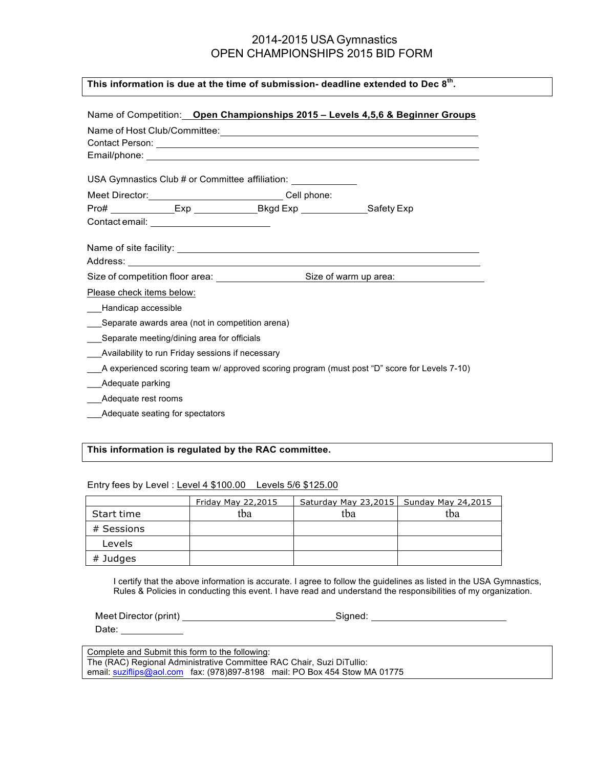# 2014-2015 USA Gymnastics OPEN CHAMPIONSHIPS 2015 BID FORM

## **This information is due at the time of submission- deadline extended to Dec 8th.**

| Name of Competition: Open Championships 2015 - Levels 4,5,6 & Beginner Groups                |  |  |  |  |
|----------------------------------------------------------------------------------------------|--|--|--|--|
|                                                                                              |  |  |  |  |
| Contact Person: New York Contact Person:                                                     |  |  |  |  |
|                                                                                              |  |  |  |  |
| USA Gymnastics Club # or Committee affiliation: _______________                              |  |  |  |  |
| Meet Director: Call phone:                                                                   |  |  |  |  |
|                                                                                              |  |  |  |  |
| Contact email: <u>_______________________</u>                                                |  |  |  |  |
|                                                                                              |  |  |  |  |
|                                                                                              |  |  |  |  |
|                                                                                              |  |  |  |  |
|                                                                                              |  |  |  |  |
| Please check items below:                                                                    |  |  |  |  |
| Handicap accessible                                                                          |  |  |  |  |
| Separate awards area (not in competition arena)                                              |  |  |  |  |
| Separate meeting/dining area for officials                                                   |  |  |  |  |
| Availability to run Friday sessions if necessary                                             |  |  |  |  |
| A experienced scoring team w/ approved scoring program (must post "D" score for Levels 7-10) |  |  |  |  |
| Adequate parking                                                                             |  |  |  |  |
| Adequate rest rooms                                                                          |  |  |  |  |

\_\_\_Adequate seating for spectators

## **This information is regulated by the RAC committee.**

#### Entry fees by Level : Level 4 \$100.00 Levels 5/6 \$125.00

|            | Friday May 22,2015 | Saturday May 23,2015   Sunday May 24,2015 |     |
|------------|--------------------|-------------------------------------------|-----|
| Start time | tba                | tba                                       | tba |
| # Sessions |                    |                                           |     |
| Levels     |                    |                                           |     |
| # Judges   |                    |                                           |     |

I certify that the above information is accurate. I agree to follow the guidelines as listed in the USA Gymnastics, Rules & Policies in conducting this event. I have read and understand the responsibilities of my organization.

| Meet Director (print)                           | Sianed: |
|-------------------------------------------------|---------|
| Date:                                           |         |
|                                                 |         |
| Complete and Submit this form to the following: |         |
|                                                 | .       |

The (RAC) Regional Administrative Committee RAC Chair, Suzi DiTullio: email: suziflips@aol.com fax: (978)897-8198 mail: PO Box 454 Stow MA 01775